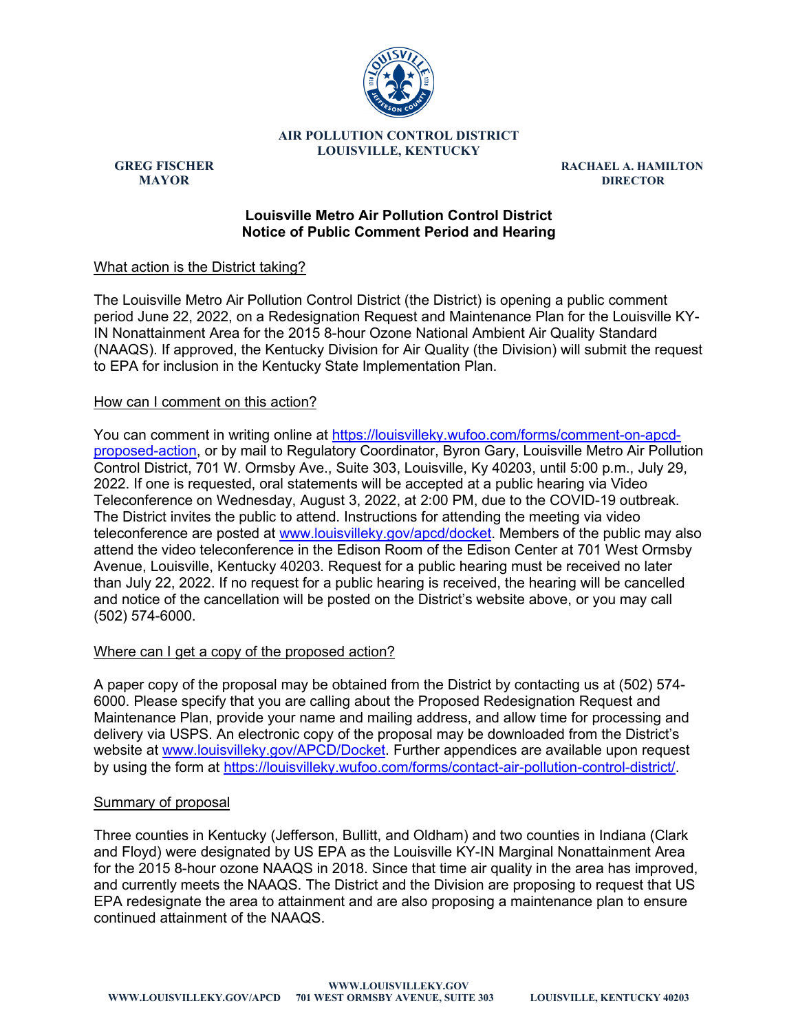

**AIR POLLUTION CONTROL DISTRICT LOUISVILLE, KENTUCKY**

**GREG FISCHER RACHAEL A. HAMILTON MAYOR DIRECTOR**

## **Louisville Metro Air Pollution Control District Notice of Public Comment Period and Hearing**

# What action is the District taking?

The Louisville Metro Air Pollution Control District (the District) is opening a public comment period June 22, 2022, on a Redesignation Request and Maintenance Plan for the Louisville KY-IN Nonattainment Area for the 2015 8-hour Ozone National Ambient Air Quality Standard (NAAQS). If approved, the Kentucky Division for Air Quality (the Division) will submit the request to EPA for inclusion in the Kentucky State Implementation Plan.

# How can I comment on this action?

You can comment in writing online at [https://louisvilleky.wufoo.com/forms/comment-on-apcd](https://louisvilleky.wufoo.com/forms/comment-on-apcd-proposed-action)[proposed-action,](https://louisvilleky.wufoo.com/forms/comment-on-apcd-proposed-action) or by mail to Regulatory Coordinator, Byron Gary, Louisville Metro Air Pollution Control District, 701 W. Ormsby Ave., Suite 303, Louisville, Ky 40203, until 5:00 p.m., July 29, 2022. If one is requested, oral statements will be accepted at a public hearing via Video Teleconference on Wednesday, August 3, 2022, at 2:00 PM, due to the COVID-19 outbreak. The District invites the public to attend. Instructions for attending the meeting via video teleconference are posted at [www.louisvilleky.gov/apcd/docket.](https://www.louisvilleky.gov/apcd/docket) Members of the public may also attend the video teleconference in the Edison Room of the Edison Center at 701 West Ormsby Avenue, Louisville, Kentucky 40203. Request for a public hearing must be received no later than July 22, 2022. If no request for a public hearing is received, the hearing will be cancelled and notice of the cancellation will be posted on the District's website above, or you may call (502) 574-6000.

# Where can I get a copy of the proposed action?

A paper copy of the proposal may be obtained from the District by contacting us at (502) 574- 6000. Please specify that you are calling about the Proposed Redesignation Request and Maintenance Plan, provide your name and mailing address, and allow time for processing and delivery via USPS. An electronic copy of the proposal may be downloaded from the District's website at [www.louisvilleky.gov/APCD/Docket.](http://www.louisvilleky.gov/APCD/Docket) Further appendices are available upon request by using the form at [https://louisvilleky.wufoo.com/forms/contact-air-pollution-control-district/.](https://louisvilleky.wufoo.com/forms/contact-air-pollution-control-district/)

### Summary of proposal

Three counties in Kentucky (Jefferson, Bullitt, and Oldham) and two counties in Indiana (Clark and Floyd) were designated by US EPA as the Louisville KY-IN Marginal Nonattainment Area for the 2015 8-hour ozone NAAQS in 2018. Since that time air quality in the area has improved, and currently meets the NAAQS. The District and the Division are proposing to request that US EPA redesignate the area to attainment and are also proposing a maintenance plan to ensure continued attainment of the NAAQS.